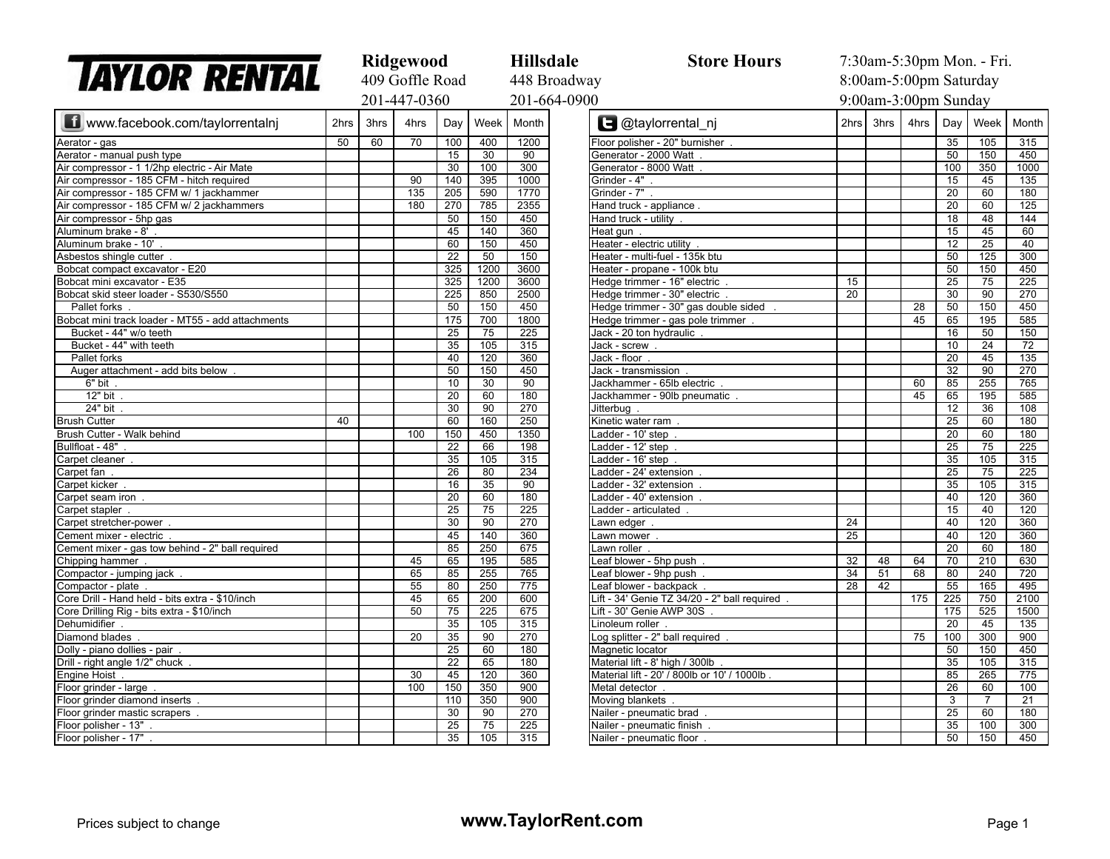| <b>TAYLOR RENTAL</b>                              |                 | Ridgewood |      |                 |                 | <b>Hillsdale</b>                               | <b>Store Hours</b>                           | 7:30am-5:30pm Mon. - Fri. |      |      |                 |                 |                  |
|---------------------------------------------------|-----------------|-----------|------|-----------------|-----------------|------------------------------------------------|----------------------------------------------|---------------------------|------|------|-----------------|-----------------|------------------|
|                                                   | 409 Goffle Road |           |      |                 | 448 Broadway    | 8:00am-5:00pm Saturday<br>9:00am-3:00pm Sunday |                                              |                           |      |      |                 |                 |                  |
|                                                   | 201-447-0360    |           |      |                 |                 |                                                |                                              |                           |      |      |                 | 201-664-0900    |                  |
| www.facebook.com/taylorrentalni                   | 2hrs            | 3hrs      | 4hrs | Day             | Week            | Month                                          | <b>B</b> @taylorrental_nj                    | 2hrs                      | 3hrs | 4hrs | Day             | Week            | Month            |
| Aerator - gas                                     | 50              | 60        | 70   | 100             | 400             | 1200                                           | Floor polisher - 20" burnisher               |                           |      |      | 35              | 105             | 315              |
| Aerator - manual push type                        |                 |           |      | 15              | 30              | 90                                             | Generator - 2000 Watt                        |                           |      |      | 50              | 150             | 450              |
| Air compressor - 1 1/2hp electric - Air Mate      |                 |           |      | 30              | 100             | 300                                            | Generator - 8000 Watt                        |                           |      |      | 100             | 350             | 1000             |
| Air compressor - 185 CFM - hitch required         |                 |           | 90   | 140             | 395             | 1000                                           | Grinder - 4".                                |                           |      |      | 15              | 45              | 135              |
| Air compressor - 185 CFM w/ 1 jackhammer          |                 |           | 135  | 205             | 590             | 1770                                           | Grinder - 7".                                |                           |      |      | $\overline{20}$ | 60              | 180              |
| Air compressor - 185 CFM w/ 2 jackhammers         |                 |           | 180  | 270             | 785             | 2355                                           | Hand truck - appliance.                      |                           |      |      | $\overline{20}$ | 60              | 125              |
| Air compressor - 5hp gas                          |                 |           |      | 50              | 150             | 450                                            | Hand truck - utility                         |                           |      |      | $\overline{18}$ | 48              | 144              |
| Aluminum brake - 8'                               |                 |           |      | 45              | 140             | 360                                            | Heat gun.                                    |                           |      |      | $\overline{15}$ | 45              | $\overline{60}$  |
| Aluminum brake - 10'                              |                 |           |      | 60              | 150             | 450                                            | Heater - electric utility                    |                           |      |      | 12              | 25              | 40               |
| Asbestos shingle cutter                           |                 |           |      | $\overline{22}$ | 50              | 150                                            | Heater - multi-fuel - 135k btu               |                           |      |      | 50              | 125             | 300              |
| Bobcat compact excavator - E20                    |                 |           |      | 325             | 1200            | 3600                                           | Heater - propane - 100k btu                  |                           |      |      | 50              | 150             | 450              |
| Bobcat mini excavator - E35                       |                 |           |      | 325             | 1200            | 3600                                           | Hedge trimmer - 16" electric                 | 15                        |      |      | 25              | 75              | 225              |
| Bobcat skid steer loader - S530/S550              |                 |           |      | 225             | 850             | 2500                                           | Hedge trimmer - 30" electric                 | $\overline{20}$           |      |      | $\overline{30}$ | 90              | 270              |
| Pallet forks                                      |                 |           |      | 50              | 150             | 450                                            | Hedge trimmer - 30" gas double sided         |                           |      | 28   | 50              | 150             | 450              |
| Bobcat mini track loader - MT55 - add attachments |                 |           |      | 175             | 700             | 1800                                           | Hedge trimmer - gas pole trimmer             |                           |      | 45   | 65              | 195             | 585              |
| Bucket - 44" w/o teeth                            |                 |           |      | $\overline{25}$ | 75              | $\overline{225}$                               | Jack - 20 ton hydraulic                      |                           |      |      | 16              | 50              | 150              |
| Bucket - 44" with teeth                           |                 |           |      | $\overline{35}$ | 105             | 315                                            | Jack - screw                                 |                           |      |      | 10              | 24              | $\overline{72}$  |
| Pallet forks                                      |                 |           |      | 40              | 120             | 360                                            | $\overline{\text{Jack}}$ - floor             |                           |      |      | 20              | 45              | $\overline{135}$ |
| Auger attachment - add bits below                 |                 |           |      | 50              | 150             | 450                                            | Jack - transmission                          |                           |      |      | 32              | 90              | 270              |
| 6" bit                                            |                 |           |      | 10              | 30              | 90                                             | Jackhammer - 65lb electric                   |                           |      | 60   | 85              | 255             | 765              |
| 12" bit                                           |                 |           |      | $\overline{20}$ | 60              | 180                                            | Jackhammer - 90lb pneumatic                  |                           |      | 45   | 65              | 195             | 585              |
| 24" bit                                           |                 |           |      | 30              | 90              | 270                                            | Jitterbug                                    |                           |      |      | 12              | 36              | 108              |
| <b>Brush Cutter</b>                               | 40              |           |      | 60              | 160             | 250                                            | Kinetic water ram                            |                           |      |      | 25              | 60              | 180              |
| Brush Cutter - Walk behind                        |                 |           | 100  | 150             | 450             | 1350                                           | Ladder - 10' step                            |                           |      |      | $\overline{20}$ | 60              | 180              |
| Bullfloat - 48"                                   |                 |           |      | 22              | 66              | 198                                            | Ladder - 12' step                            |                           |      |      | $\overline{25}$ | 75              | 225              |
| Carpet cleaner                                    |                 |           |      | 35              | 105             | 315                                            | Ladder - 16' step                            |                           |      |      | $\overline{35}$ | 105             | $\overline{315}$ |
| Carpet fan                                        |                 |           |      | $\overline{26}$ | 80              | 234                                            | adder - 24' extension                        |                           |      |      | $\overline{25}$ | $\overline{75}$ | 225              |
| Carpet kicker                                     |                 |           |      | 16              | 35              | 90                                             | adder - 32' extension                        |                           |      |      | 35              | 105             | 315              |
| Carpet seam iron                                  |                 |           |      | 20              | 60              | 180                                            | adder - 40' extension                        |                           |      |      | 40              | 120             | 360              |
| Carpet stapler                                    |                 |           |      | $\overline{25}$ | 75              | 225                                            | adder - articulated                          |                           |      |      | $\overline{15}$ | 40              | 120              |
| Carpet stretcher-power                            |                 |           |      | 30              | 90              | 270                                            | awn edger.                                   | 24                        |      |      | 40              | 120             | 360              |
| Cement mixer - electric                           |                 |           |      | 45              | 140             | 360                                            | Lawn mower                                   | 25                        |      |      | 40              | 120             | 360              |
| Cement mixer - gas tow behind - 2" ball required  |                 |           |      | 85              | 250             | 675                                            | Lawn roller.                                 |                           |      |      | $\overline{20}$ | 60              | 180              |
| Chipping hammer                                   |                 |           | 45   | 65              | 195             | 585                                            | Leaf blower - 5hp push                       | 32                        | 48   | 64   | 70              | 210             | 630              |
| Compactor - jumping jack                          |                 |           | 65   | 85              | 255             | 765                                            | Leaf blower - 9hp push                       | $\overline{34}$           | 51   | 68   | 80              | 240             | 720              |
| Compactor - plate                                 |                 |           | 55   | 80              | 250             | 775                                            | Leaf blower - backpack                       | 28                        | 42   |      | $\overline{55}$ | 165             | 495              |
| Core Drill - Hand held - bits extra - \$10/inch   |                 |           | 45   | 65              | 200             | 600                                            | Lift - 34' Genie TZ 34/20 - 2" ball required |                           |      | 175  | 225             | 750             | 2100             |
| Core Drilling Rig - bits extra - \$10/inch        |                 |           | 50   | 75              | 225             | 675                                            | Lift - 30' Genie AWP 30S.                    |                           |      |      | 175             | 525             | 1500             |
| Dehumidifier                                      |                 |           |      | 35              | 105             | 315                                            | Linoleum roller                              |                           |      |      | 20              | 45              | 135              |
| Diamond blades                                    |                 |           | 20   | 35              | 90              | 270                                            | Log splitter - 2" ball required              |                           |      | 75   | 100             | 300             | 900              |
| Dolly - piano dollies - pair.                     |                 |           |      | 25              | 60              | 180                                            | Magnetic locator                             |                           |      |      | 50              | 150             | 450              |
| Drill - right angle 1/2" chuck                    |                 |           |      | $\overline{22}$ | 65              | 180                                            | Material lift - 8' high / 300lb              |                           |      |      | $\overline{35}$ | 105             | 315              |
| <b>Engine Hoist</b>                               |                 |           | 30   | 45              | 120             | 360                                            | Material lift - 20' / 800lb or 10' / 1000lb  |                           |      |      | 85              | 265             | 775              |
| Floor grinder - large                             |                 |           | 100  | 150             | 350             | 900                                            | Metal detector.                              |                           |      |      | $\overline{26}$ | 60              | 100              |
| Floor grinder diamond inserts                     |                 |           |      | 110             | 350             | 900                                            | Moving blankets                              |                           |      |      | 3               | 7               | $\overline{21}$  |
| Floor grinder mastic scrapers                     |                 |           |      | 30              | 90              | 270                                            | Nailer - pneumatic brad                      |                           |      |      | 25              | 60              | 180              |
| Floor polisher - 13"                              |                 |           |      | 25              | $\overline{75}$ | 225                                            | Nailer - pneumatic finish                    |                           |      |      | 35              | 100             | 300              |
| Floor polisher - 17"                              |                 |           |      | 35              | 105             | 315                                            | Nailer - pneumatic floor                     |                           |      |      | 50              | 150             | 450              |
|                                                   |                 |           |      |                 |                 |                                                |                                              |                           |      |      |                 |                 |                  |

| ay                                            | 8:00am-5:00pm Saturday |      |      |                 |                  |                  |  |  |  |
|-----------------------------------------------|------------------------|------|------|-----------------|------------------|------------------|--|--|--|
| $\overline{0}$                                | 9:00am-3:00pm Sunday   |      |      |                 |                  |                  |  |  |  |
| <b>B</b> @taylorrental_nj                     | 2hrs                   | 3hrs | 4hrs | Day             | Week             | Month            |  |  |  |
| Floor polisher - 20" burnisher.               |                        |      |      | 35              | 105              | 315              |  |  |  |
| Generator - 2000 Watt.                        |                        |      |      | 50              | 150              | 450              |  |  |  |
| Generator - 8000 Watt.                        |                        |      |      | 100             | 350              | 1000             |  |  |  |
| Grinder - 4"                                  |                        |      |      | 15              | 45               | 135              |  |  |  |
| Grinder - 7"                                  |                        |      |      | 20              | 60               | 180              |  |  |  |
| Hand truck - appliance.                       |                        |      |      | $\overline{20}$ | 60               | $\overline{125}$ |  |  |  |
| Hand truck - utility .                        |                        |      |      | 18              | 48               | 144              |  |  |  |
| Heat gun $\overline{\phantom{a}}$ .           |                        |      |      | 15              | 45               | 60               |  |  |  |
| Heater - electric utility .                   |                        |      |      | 12              | 25               | 40               |  |  |  |
| Heater - multi-fuel - 135k btu                |                        |      |      | 50              | 125              | 300              |  |  |  |
| Heater - propane - 100k btu                   |                        |      |      | 50              | 150              | 450              |  |  |  |
| Hedge trimmer - 16" electric                  | 15                     |      |      | 25              | 75               | 225              |  |  |  |
| Hedge trimmer - 30" electric                  | 20                     |      |      | 30              | 90               | 270              |  |  |  |
| Hedge trimmer - 30" gas double sided .        |                        |      | 28   | 50              | 150              | 450              |  |  |  |
| Hedge trimmer - gas pole trimmer.             |                        |      | 45   | 65              | 195              | 585              |  |  |  |
| Jack - 20 ton hydraulic.                      |                        |      |      | 16              | 50               | 150              |  |  |  |
| Jack - screw                                  |                        |      |      | 10              | 24               | 72               |  |  |  |
| Jack - floor.                                 |                        |      |      | 20              | 45               | 135              |  |  |  |
| Jack - transmission.                          |                        |      |      | 32              | 90               | 270              |  |  |  |
| Jackhammer - 65lb electric.                   |                        |      | 60   | 85              | 255              | 765              |  |  |  |
| Jackhammer - 90lb pneumatic .                 |                        |      | 45   | 65              | 195              | 585              |  |  |  |
| Jitterbug.                                    |                        |      |      | 12              | 36               | 108              |  |  |  |
| Kinetic water ram.                            |                        |      |      | 25              | 60               | 180              |  |  |  |
| Ladder - 10' step .                           |                        |      |      | 20              | 60               | 180              |  |  |  |
| Ladder - 12' step .                           |                        |      |      | 25              | 75               | 225              |  |  |  |
| Ladder - 16' step.                            |                        |      |      | 35              | 105              | 315              |  |  |  |
| Ladder - 24' extension.                       |                        |      |      | 25              | 75               | 225              |  |  |  |
| Ladder - 32' extension.                       |                        |      |      | 35              | 105              | 315              |  |  |  |
| Ladder - 40' extension .                      |                        |      |      | 40              | 120              | 360              |  |  |  |
| Ladder - articulated .                        |                        |      |      | 15              | 40               | 120              |  |  |  |
| Lawn edger.                                   | 24                     |      |      | 40              | 120              | 360              |  |  |  |
| Lawn mower.                                   | 25                     |      |      | 40              | 120              | 360              |  |  |  |
| Lawn roller                                   |                        |      |      | $\overline{20}$ | 60               | 180              |  |  |  |
| Leaf blower - 5hp push.                       | $\overline{32}$        | 48   | 64   | $\overline{70}$ | $\overline{210}$ | 630              |  |  |  |
| Leaf blower - 9hp push.                       | 34                     | 51   | 68   | 80              | 240              | 720              |  |  |  |
| Leaf blower - backpack.                       | 28                     | 42   |      | 55              | 165              | 495              |  |  |  |
| Lift - 34' Genie TZ 34/20 - 2" ball required. |                        |      | 175  | 225             | 750              | 2100             |  |  |  |
| Lift - 30' Genie AWP 30S.                     |                        |      |      | 175             | 525              | 1500             |  |  |  |
| Linoleum roller.                              |                        |      |      | 20              | 45               | 135              |  |  |  |
| Log splitter - 2" ball required               |                        |      | 75   | 100             | 300              | 900              |  |  |  |
| Magnetic locator                              |                        |      |      | 50              | 150              | 450              |  |  |  |
| Material lift - 8' high / 300lb.              |                        |      |      | 35              | 105              | $\overline{315}$ |  |  |  |
| Material lift - 20' / 800lb or 10' / 1000lb.  |                        |      |      | 85              | 265              | $\overline{775}$ |  |  |  |
| Metal detector.                               |                        |      |      | 26              | 60               | 100              |  |  |  |
| Moving blankets.                              |                        |      |      | 3               | 7                | $\overline{21}$  |  |  |  |
| Nailer - pneumatic brad                       |                        |      |      | 25              | 60               | 180              |  |  |  |
| Nailer - pneumatic finish                     |                        |      |      | 35              | 100              | 300              |  |  |  |
| Nailer - pneumatic floor.                     |                        |      |      | 50              | 150              | 450              |  |  |  |
|                                               |                        |      |      |                 |                  |                  |  |  |  |